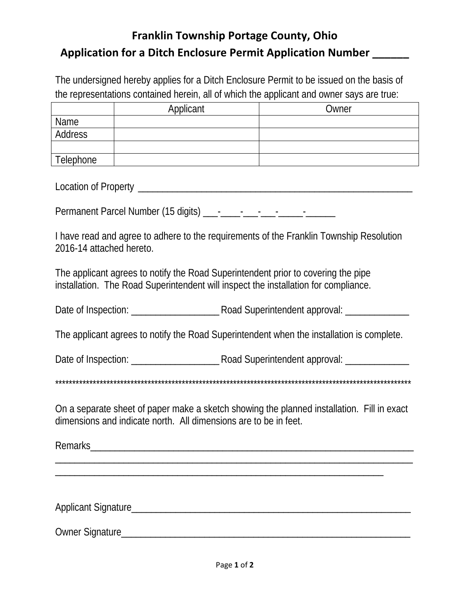## **Franklin Township Portage County, Ohio Application for a Ditch Enclosure Permit Application Number \_\_\_\_\_\_**

The undersigned hereby applies for a Ditch Enclosure Permit to be issued on the basis of the representations contained herein, all of which the applicant and owner says are true:

|           | Applicant | Owner |
|-----------|-----------|-------|
| Name      |           |       |
| Address   |           |       |
|           |           |       |
| Telephone |           |       |

Location of Property \_\_\_\_\_\_\_\_\_\_\_\_\_\_\_\_\_\_\_\_\_\_\_\_\_\_\_\_\_\_\_\_\_\_\_\_\_\_\_\_\_\_\_\_\_\_\_\_\_\_\_\_\_\_\_\_

Permanent Parcel Number (15 digits) \_\_\_-\_\_\_\_-\_\_\_-\_\_\_-\_\_\_\_\_-\_\_\_\_\_\_

I have read and agree to adhere to the requirements of the Franklin Township Resolution 2016-14 attached hereto.

The applicant agrees to notify the Road Superintendent prior to covering the pipe installation. The Road Superintendent will inspect the installation for compliance.

Date of Inspection: \_\_\_\_\_\_\_\_\_\_\_\_\_\_\_\_\_\_ Road Superintendent approval: \_\_\_\_\_\_\_\_\_\_\_\_\_

The applicant agrees to notify the Road Superintendent when the installation is complete.

Date of Inspection: <br>  $\Box$  Road Superintendent approval:

\*\*\*\*\*\*\*\*\*\*\*\*\*\*\*\*\*\*\*\*\*\*\*\*\*\*\*\*\*\*\*\*\*\*\*\*\*\*\*\*\*\*\*\*\*\*\*\*\*\*\*\*\*\*\*\*\*\*\*\*\*\*\*\*\*\*\*\*\*\*\*\*\*\*\*\*\*\*\*\*\*\*\*\*\*\*\*\*\*\*\*\*\*\*\*\*\*\*\*\*\*\*\*\*

On a separate sheet of paper make a sketch showing the planned installation. Fill in exact dimensions and indicate north. All dimensions are to be in feet.

Remarks \_\_\_\_\_\_\_\_\_\_\_\_\_\_\_\_\_\_\_\_\_\_\_\_\_\_\_\_\_\_\_\_\_\_\_\_\_\_\_\_\_\_\_\_\_\_\_\_\_\_\_\_\_\_\_\_\_\_\_\_\_\_\_\_\_\_\_\_\_\_\_\_\_

\_\_\_\_\_\_\_\_\_\_\_\_\_\_\_\_\_\_\_\_\_\_\_\_\_\_\_\_\_\_\_\_\_\_\_\_\_\_\_\_\_\_\_\_\_\_\_\_\_\_\_\_\_\_\_\_\_\_\_\_\_\_\_\_\_\_\_

Applicant Signature

Owner Signature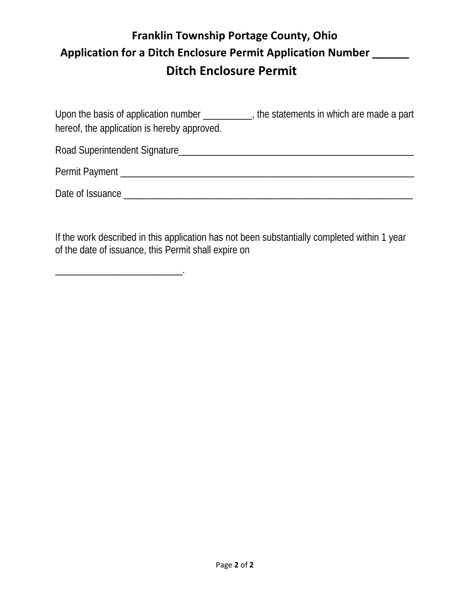## **Franklin Township Portage County, Ohio Application for a Ditch Enclosure Permit Application Number \_\_\_\_\_\_ Ditch Enclosure Permit**

Upon the basis of application number \_\_\_\_\_\_\_\_\_, the statements in which are made a part hereof, the application is hereby approved.

Road Superintendent Signature\_\_\_\_\_\_\_\_\_\_\_\_\_\_\_\_\_\_\_\_\_\_\_\_\_\_\_\_\_\_\_\_\_\_\_\_\_\_\_\_\_\_\_\_\_\_\_\_ Permit Payment \_\_\_\_\_\_\_\_\_\_\_\_\_\_\_\_\_\_\_\_\_\_\_\_\_\_\_\_\_\_\_\_\_\_\_\_\_\_\_\_\_\_\_\_\_\_\_\_\_\_\_\_\_\_\_\_\_\_\_\_

Date of Issuance \_\_\_\_\_\_\_\_\_\_\_\_\_\_\_\_\_\_\_\_\_\_\_\_\_\_\_\_\_\_\_\_\_\_\_\_\_\_\_\_\_\_\_\_\_\_\_\_\_\_\_\_\_\_\_\_\_\_\_

If the work described in this application has not been substantially completed within 1 year of the date of issuance, this Permit shall expire on

\_\_\_\_\_\_\_\_\_\_\_\_\_\_\_\_\_\_\_\_\_\_\_\_\_\_.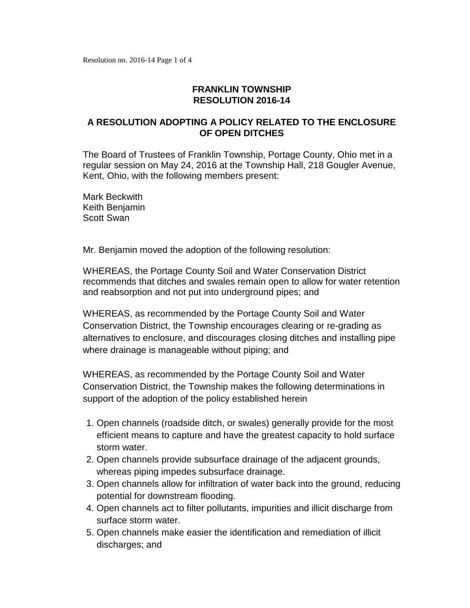## **FRANKLIN TOWNSHIP RESOLUTION 2016-14**

## **A RESOLUTION ADOPTING A POLICY RELATED TO THE ENCLOSURE OF OPEN DITCHES**

The Board of Trustees of Franklin Township, Portage County, Ohio met in a regular session on May 24, 2016 at the Township Hall, 218 Gougler Avenue, Kent, Ohio, with the following members present:

Mark Beckwith Keith Benjamin Scott Swan

Mr. Benjamin moved the adoption of the following resolution:

WHEREAS, the Portage County Soil and Water Conservation District recommends that ditches and swales remain open to allow for water retention and reabsorption and not put into underground pipes; and

WHEREAS, as recommended by the Portage County Soil and Water Conservation District, the Township encourages clearing or re-grading as alternatives to enclosure, and discourages closing ditches and installing pipe where drainage is manageable without piping; and

WHEREAS, as recommended by the Portage County Soil and Water Conservation District, the Township makes the following determinations in support of the adoption of the policy established herein

- 1. Open channels (roadside ditch, or swales) generally provide for the most efficient means to capture and have the greatest capacity to hold surface storm water.
- 2. Open channels provide subsurface drainage of the adjacent grounds, whereas piping impedes subsurface drainage.
- 3. Open channels allow for infiltration of water back into the ground, reducing potential for downstream flooding.
- 4. Open channels act to filter pollutants, impurities and illicit discharge from surface storm water.
- 5. Open channels make easier the identification and remediation of illicit discharges; and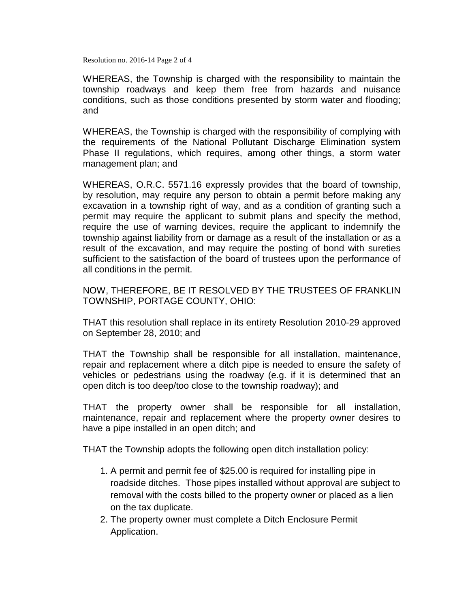Resolution no. 2016-14 Page 2 of 4

WHEREAS, the Township is charged with the responsibility to maintain the township roadways and keep them free from hazards and nuisance conditions, such as those conditions presented by storm water and flooding; and

WHEREAS, the Township is charged with the responsibility of complying with the requirements of the National Pollutant Discharge Elimination system Phase II regulations, which requires, among other things, a storm water management plan; and

WHEREAS, O.R.C. 5571.16 expressly provides that the board of township, by resolution, may require any person to obtain a permit before making any excavation in a township right of way, and as a condition of granting such a permit may require the applicant to submit plans and specify the method, require the use of warning devices, require the applicant to indemnify the township against liability from or damage as a result of the installation or as a result of the excavation, and may require the posting of bond with sureties sufficient to the satisfaction of the board of trustees upon the performance of all conditions in the permit.

NOW, THEREFORE, BE IT RESOLVED BY THE TRUSTEES OF FRANKLIN TOWNSHIP, PORTAGE COUNTY, OHIO:

THAT this resolution shall replace in its entirety Resolution 2010-29 approved on September 28, 2010; and

THAT the Township shall be responsible for all installation, maintenance, repair and replacement where a ditch pipe is needed to ensure the safety of vehicles or pedestrians using the roadway (e.g. if it is determined that an open ditch is too deep/too close to the township roadway); and

THAT the property owner shall be responsible for all installation, maintenance, repair and replacement where the property owner desires to have a pipe installed in an open ditch; and

THAT the Township adopts the following open ditch installation policy:

- 1. A permit and permit fee of \$25.00 is required for installing pipe in roadside ditches. Those pipes installed without approval are subject to removal with the costs billed to the property owner or placed as a lien on the tax duplicate.
- 2. The property owner must complete a Ditch Enclosure Permit Application.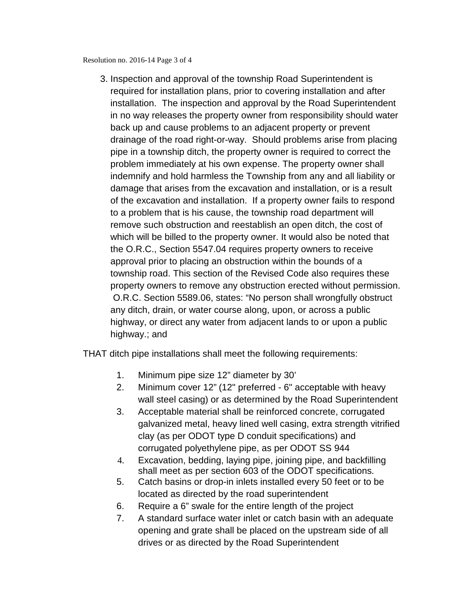Resolution no. 2016-14 Page 3 of 4

3. Inspection and approval of the township Road Superintendent is required for installation plans, prior to covering installation and after installation. The inspection and approval by the Road Superintendent in no way releases the property owner from responsibility should water back up and cause problems to an adjacent property or prevent drainage of the road right-or-way. Should problems arise from placing pipe in a township ditch, the property owner is required to correct the problem immediately at his own expense. The property owner shall indemnify and hold harmless the Township from any and all liability or damage that arises from the excavation and installation, or is a result of the excavation and installation. If a property owner fails to respond to a problem that is his cause, the township road department will remove such obstruction and reestablish an open ditch, the cost of which will be billed to the property owner. It would also be noted that the O.R.C., Section 5547.04 requires property owners to receive approval prior to placing an obstruction within the bounds of a township road. This section of the Revised Code also requires these property owners to remove any obstruction erected without permission. O.R.C. Section 5589.06, states: "No person shall wrongfully obstruct any ditch, drain, or water course along, upon, or across a public highway, or direct any water from adjacent lands to or upon a public highway.; and

THAT ditch pipe installations shall meet the following requirements:

- 1. Minimum pipe size 12" diameter by 30'
- 2. Minimum cover 12" (12" preferred 6" acceptable with heavy wall steel casing) or as determined by the Road Superintendent
- 3. Acceptable material shall be reinforced concrete, corrugated galvanized metal, heavy lined well casing, extra strength vitrified clay (as per ODOT type D conduit specifications) and corrugated polyethylene pipe, as per ODOT SS 944
- 4. Excavation, bedding, laying pipe, joining pipe, and backfilling shall meet as per section 603 of the ODOT specifications.
- 5. Catch basins or drop-in inlets installed every 50 feet or to be located as directed by the road superintendent
- 6. Require a 6" swale for the entire length of the project
- 7. A standard surface water inlet or catch basin with an adequate opening and grate shall be placed on the upstream side of all drives or as directed by the Road Superintendent